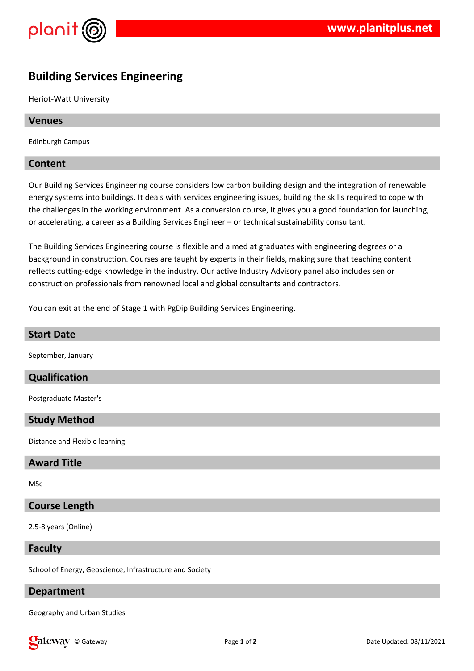

# **Building Services Engineering**

Heriot-Watt University

#### **Venues**

Edinburgh Campus

#### **Content**

Our Building Services Engineering course considers low carbon building design and the integration of renewable energy systems into buildings. It deals with services engineering issues, building the skills required to cope with the challenges in the working environment. As a conversion course, it gives you a good foundation for launching, or accelerating, a career as a Building Services Engineer – or technical sustainability consultant.

The Building Services Engineering course is flexible and aimed at graduates with engineering degrees or a background in construction. Courses are taught by experts in their fields, making sure that teaching content reflects cutting-edge knowledge in the industry. Our active Industry Advisory panel also includes senior construction professionals from renowned local and global consultants and contractors.

You can exit at the end of Stage 1 with PgDip Building Services Engineering.

# **Start Date**

September, January

#### **Qualification**

Postgraduate Master's

#### **Study Method**

Distance and Flexible learning

#### **Award Title**

MSc

#### **Course Length**

2.5-8 years (Online)

#### **Faculty**

School of Energy, Geoscience, Infrastructure and Society

## **Department**

Geography and Urban Studies

**Q** at EWAY © Gateway **Page 1** of 2 **Date Updated: 08/11/2021**